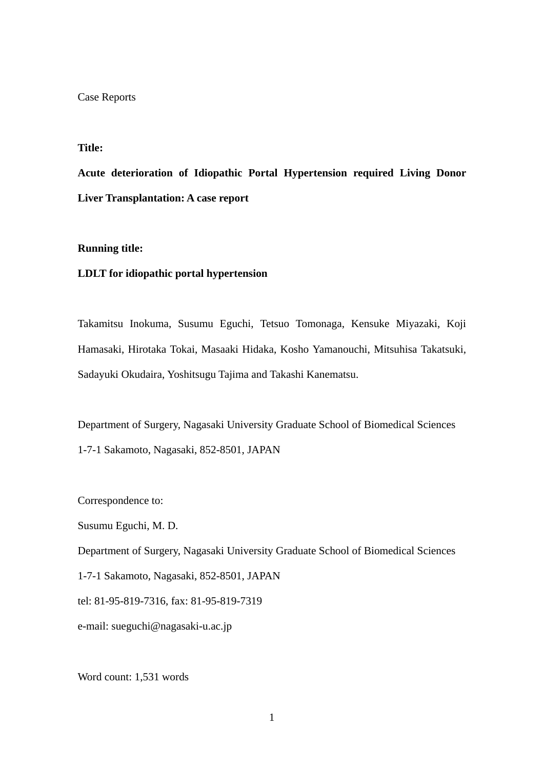#### Case Reports

## **Title:**

**Acute deterioration of Idiopathic Portal Hypertension required Living Donor Liver Transplantation: A case report** 

### **Running title:**

### **LDLT for idiopathic portal hypertension**

Takamitsu Inokuma, Susumu Eguchi, Tetsuo Tomonaga, Kensuke Miyazaki, Koji Hamasaki, Hirotaka Tokai, Masaaki Hidaka, Kosho Yamanouchi, Mitsuhisa Takatsuki, Sadayuki Okudaira, Yoshitsugu Tajima and Takashi Kanematsu.

Department of Surgery, Nagasaki University Graduate School of Biomedical Sciences 1-7-1 Sakamoto, Nagasaki, 852-8501, JAPAN

Correspondence to:

Susumu Eguchi, M. D.

Department of Surgery, Nagasaki University Graduate School of Biomedical Sciences

1-7-1 Sakamoto, Nagasaki, 852-8501, JAPAN

tel: 81-95-819-7316, fax: 81-95-819-7319

e-mail: sueguchi@nagasaki-u.ac.jp

Word count: 1,531 words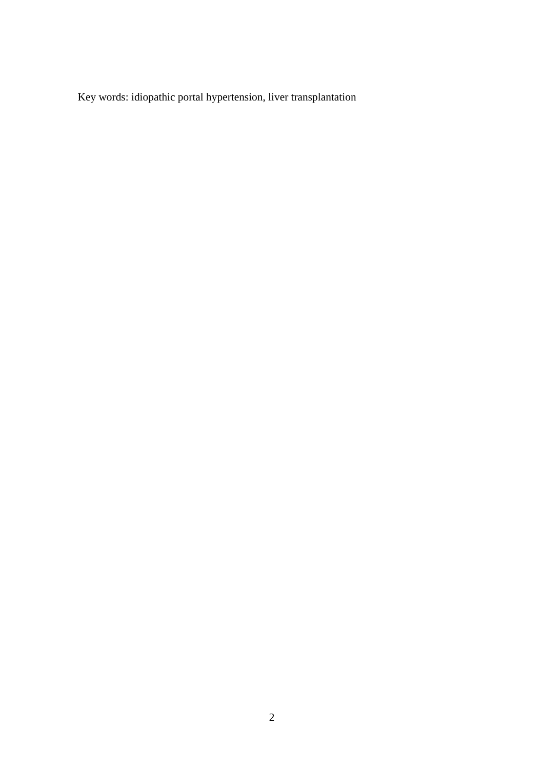Key words: idiopathic portal hypertension, liver transplantation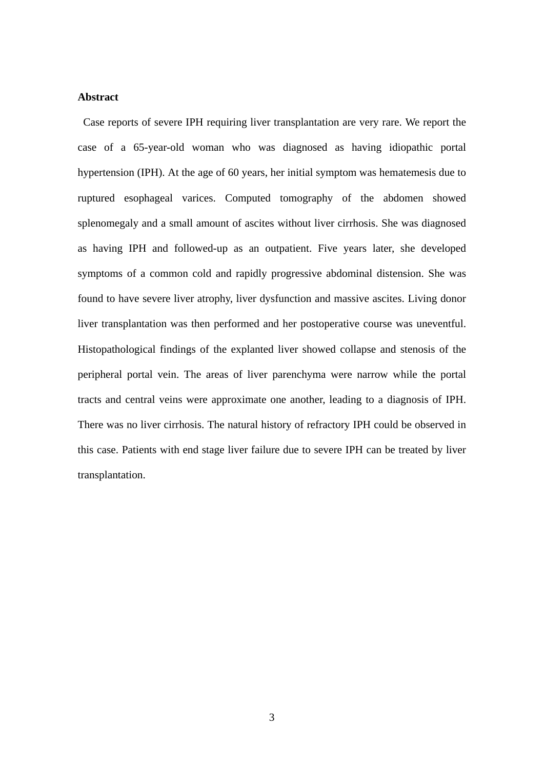### **Abstract**

Case reports of severe IPH requiring liver transplantation are very rare. We report the case of a 65-year-old woman who was diagnosed as having idiopathic portal hypertension (IPH). At the age of 60 years, her initial symptom was hematemesis due to ruptured esophageal varices. Computed tomography of the abdomen showed splenomegaly and a small amount of ascites without liver cirrhosis. She was diagnosed as having IPH and followed-up as an outpatient. Five years later, she developed symptoms of a common cold and rapidly progressive abdominal distension. She was found to have severe liver atrophy, liver dysfunction and massive ascites. Living donor liver transplantation was then performed and her postoperative course was uneventful. Histopathological findings of the explanted liver showed collapse and stenosis of the peripheral portal vein. The areas of liver parenchyma were narrow while the portal tracts and central veins were approximate one another, leading to a diagnosis of IPH. There was no liver cirrhosis. The natural history of refractory IPH could be observed in this case. Patients with end stage liver failure due to severe IPH can be treated by liver transplantation.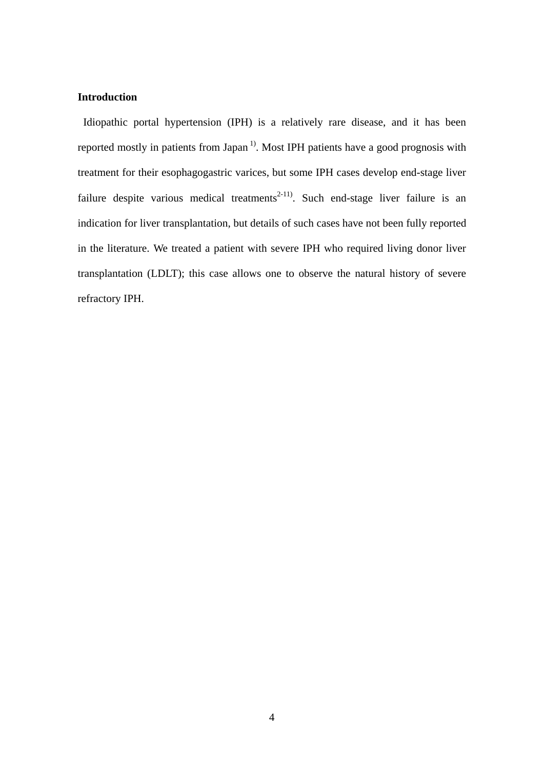# **Introduction**

 Idiopathic portal hypertension (IPH) is a relatively rare disease, and it has been reported mostly in patients from Japan<sup> $1$ </sup>. Most IPH patients have a good prognosis with treatment for their esophagogastric varices, but some IPH cases develop end-stage liver failure despite various medical treatments<sup>2-11)</sup>. Such end-stage liver failure is an indication for liver transplantation, but details of such cases have not been fully reported in the literature. We treated a patient with severe IPH who required living donor liver transplantation (LDLT); this case allows one to observe the natural history of severe refractory IPH.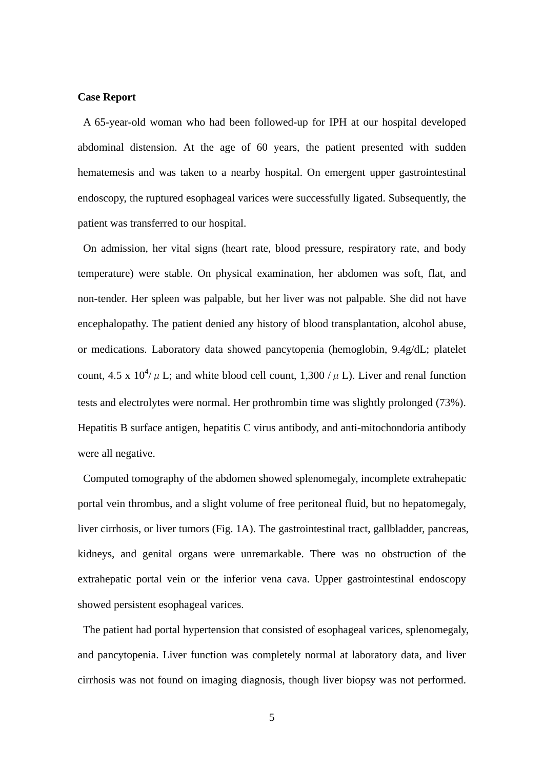### **Case Report**

A 65-year-old woman who had been followed-up for IPH at our hospital developed abdominal distension. At the age of 60 years, the patient presented with sudden hematemesis and was taken to a nearby hospital. On emergent upper gastrointestinal endoscopy, the ruptured esophageal varices were successfully ligated. Subsequently, the patient was transferred to our hospital.

 On admission, her vital signs (heart rate, blood pressure, respiratory rate, and body temperature) were stable. On physical examination, her abdomen was soft, flat, and non-tender. Her spleen was palpable, but her liver was not palpable. She did not have encephalopathy. The patient denied any history of blood transplantation, alcohol abuse, or medications. Laboratory data showed pancytopenia (hemoglobin, 9.4g/dL; platelet count, 4.5 x  $10^4/\mu$  L; and white blood cell count, 1,300 / $\mu$  L). Liver and renal function tests and electrolytes were normal. Her prothrombin time was slightly prolonged (73%). Hepatitis B surface antigen, hepatitis C virus antibody, and anti-mitochondoria antibody were all negative.

 Computed tomography of the abdomen showed splenomegaly, incomplete extrahepatic portal vein thrombus, and a slight volume of free peritoneal fluid, but no hepatomegaly, liver cirrhosis, or liver tumors (Fig. 1A). The gastrointestinal tract, gallbladder, pancreas, kidneys, and genital organs were unremarkable. There was no obstruction of the extrahepatic portal vein or the inferior vena cava. Upper gastrointestinal endoscopy showed persistent esophageal varices.

The patient had portal hypertension that consisted of esophageal varices, splenomegaly, and pancytopenia. Liver function was completely normal at laboratory data, and liver cirrhosis was not found on imaging diagnosis, though liver biopsy was not performed.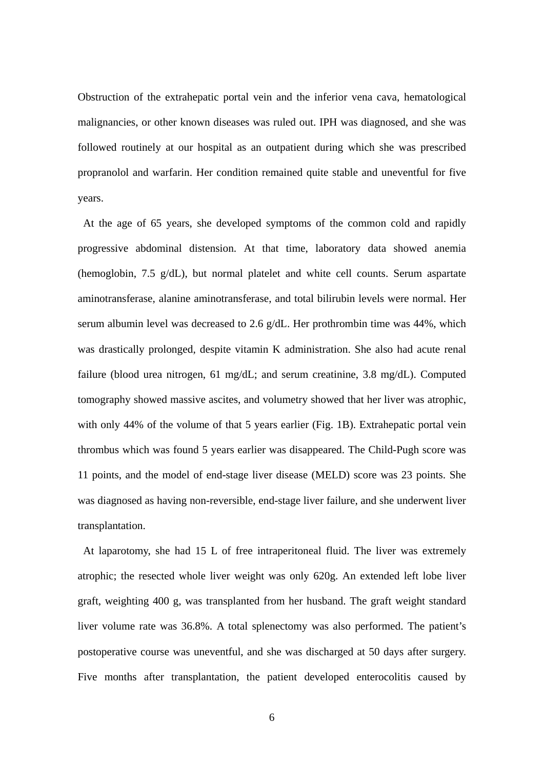Obstruction of the extrahepatic portal vein and the inferior vena cava, hematological malignancies, or other known diseases was ruled out. IPH was diagnosed, and she was followed routinely at our hospital as an outpatient during which she was prescribed propranolol and warfarin. Her condition remained quite stable and uneventful for five years.

 At the age of 65 years, she developed symptoms of the common cold and rapidly progressive abdominal distension. At that time, laboratory data showed anemia (hemoglobin, 7.5 g/dL), but normal platelet and white cell counts. Serum aspartate aminotransferase, alanine aminotransferase, and total bilirubin levels were normal. Her serum albumin level was decreased to 2.6 g/dL. Her prothrombin time was 44%, which was drastically prolonged, despite vitamin K administration. She also had acute renal failure (blood urea nitrogen, 61 mg/dL; and serum creatinine, 3.8 mg/dL). Computed tomography showed massive ascites, and volumetry showed that her liver was atrophic, with only 44% of the volume of that 5 years earlier (Fig. 1B). Extrahepatic portal vein thrombus which was found 5 years earlier was disappeared. The Child-Pugh score was 11 points, and the model of end-stage liver disease (MELD) score was 23 points. She was diagnosed as having non-reversible, end-stage liver failure, and she underwent liver transplantation.

 At laparotomy, she had 15 L of free intraperitoneal fluid. The liver was extremely atrophic; the resected whole liver weight was only 620g. An extended left lobe liver graft, weighting 400 g, was transplanted from her husband. The graft weight standard liver volume rate was 36.8%. A total splenectomy was also performed. The patient's postoperative course was uneventful, and she was discharged at 50 days after surgery. Five months after transplantation, the patient developed enterocolitis caused by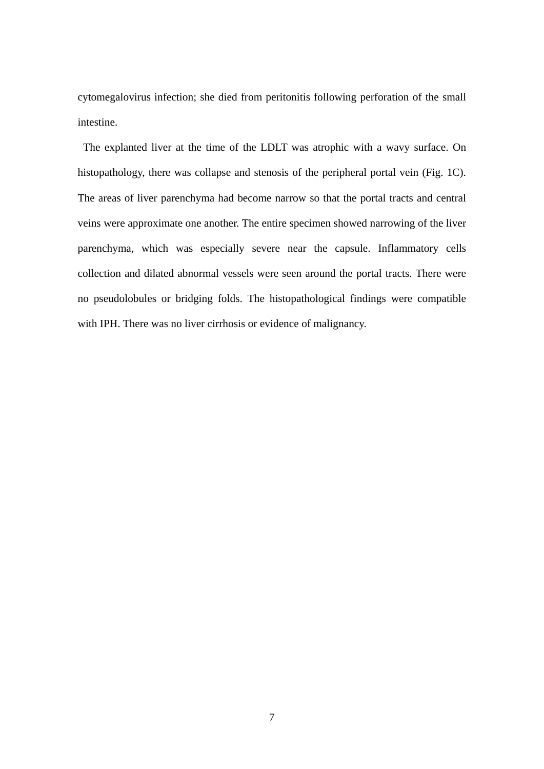cytomegalovirus infection; she died from peritonitis following perforation of the small intestine.

 The explanted liver at the time of the LDLT was atrophic with a wavy surface. On histopathology, there was collapse and stenosis of the peripheral portal vein (Fig. 1C). The areas of liver parenchyma had become narrow so that the portal tracts and central veins were approximate one another. The entire specimen showed narrowing of the liver parenchyma, which was especially severe near the capsule. Inflammatory cells collection and dilated abnormal vessels were seen around the portal tracts. There were no pseudolobules or bridging folds. The histopathological findings were compatible with IPH. There was no liver cirrhosis or evidence of malignancy.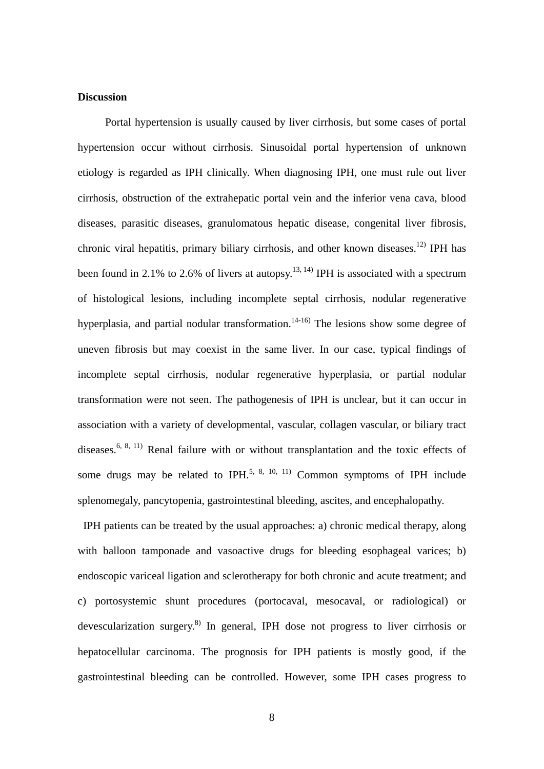### **Discussion**

Portal hypertension is usually caused by liver cirrhosis, but some cases of portal hypertension occur without cirrhosis. Sinusoidal portal hypertension of unknown etiology is regarded as IPH clinically. When diagnosing IPH, one must rule out liver cirrhosis, obstruction of the extrahepatic portal vein and the inferior vena cava, blood diseases, parasitic diseases, granulomatous hepatic disease, congenital liver fibrosis, chronic viral hepatitis, primary biliary cirrhosis, and other known diseases.<sup>12)</sup> IPH has been found in 2.1% to 2.6% of livers at autopsy.<sup>13, 14)</sup> IPH is associated with a spectrum of histological lesions, including incomplete septal cirrhosis, nodular regenerative hyperplasia, and partial nodular transformation.<sup>14-16)</sup> The lesions show some degree of uneven fibrosis but may coexist in the same liver. In our case, typical findings of incomplete septal cirrhosis, nodular regenerative hyperplasia, or partial nodular transformation were not seen. The pathogenesis of IPH is unclear, but it can occur in association with a variety of developmental, vascular, collagen vascular, or biliary tract diseases.<sup>6, 8, 11)</sup> Renal failure with or without transplantation and the toxic effects of some drugs may be related to IPH.<sup>5, 8, 10, 11)</sup> Common symptoms of IPH include splenomegaly, pancytopenia, gastrointestinal bleeding, ascites, and encephalopathy.

IPH patients can be treated by the usual approaches: a) chronic medical therapy, along with balloon tamponade and vasoactive drugs for bleeding esophageal varices; b) endoscopic variceal ligation and sclerotherapy for both chronic and acute treatment; and c) portosystemic shunt procedures (portocaval, mesocaval, or radiological) or devescularization surgery.<sup>8)</sup> In general, IPH dose not progress to liver cirrhosis or hepatocellular carcinoma. The prognosis for IPH patients is mostly good, if the gastrointestinal bleeding can be controlled. However, some IPH cases progress to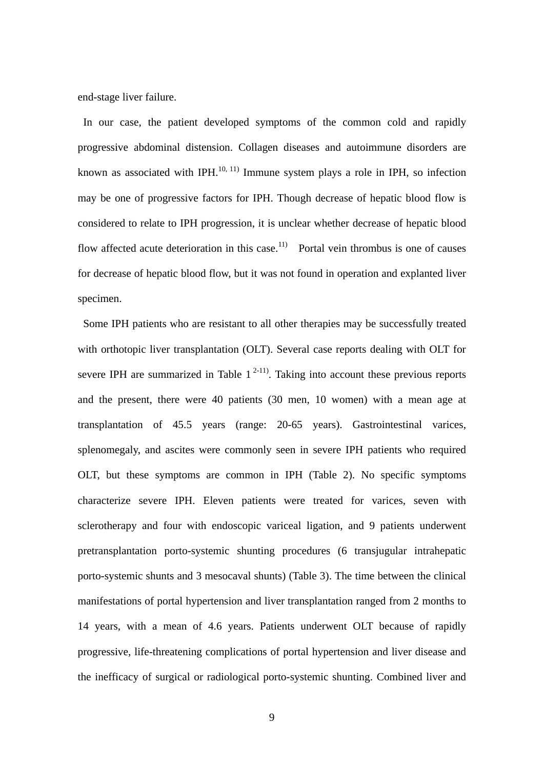end-stage liver failure.

In our case, the patient developed symptoms of the common cold and rapidly progressive abdominal distension. Collagen diseases and autoimmune disorders are known as associated with IPH. $^{10, 11)}$  Immune system plays a role in IPH, so infection may be one of progressive factors for IPH. Though decrease of hepatic blood flow is considered to relate to IPH progression, it is unclear whether decrease of hepatic blood flow affected acute deterioration in this case.<sup>11)</sup> Portal vein thrombus is one of causes for decrease of hepatic blood flow, but it was not found in operation and explanted liver specimen.

 Some IPH patients who are resistant to all other therapies may be successfully treated with orthotopic liver transplantation (OLT). Several case reports dealing with OLT for severe IPH are summarized in Table  $1^{2-11}$ . Taking into account these previous reports and the present, there were 40 patients (30 men, 10 women) with a mean age at transplantation of 45.5 years (range: 20-65 years). Gastrointestinal varices, splenomegaly, and ascites were commonly seen in severe IPH patients who required OLT, but these symptoms are common in IPH (Table 2). No specific symptoms characterize severe IPH. Eleven patients were treated for varices, seven with sclerotherapy and four with endoscopic variceal ligation, and 9 patients underwent pretransplantation porto-systemic shunting procedures (6 transjugular intrahepatic porto-systemic shunts and 3 mesocaval shunts) (Table 3). The time between the clinical manifestations of portal hypertension and liver transplantation ranged from 2 months to 14 years, with a mean of 4.6 years. Patients underwent OLT because of rapidly progressive, life-threatening complications of portal hypertension and liver disease and the inefficacy of surgical or radiological porto-systemic shunting. Combined liver and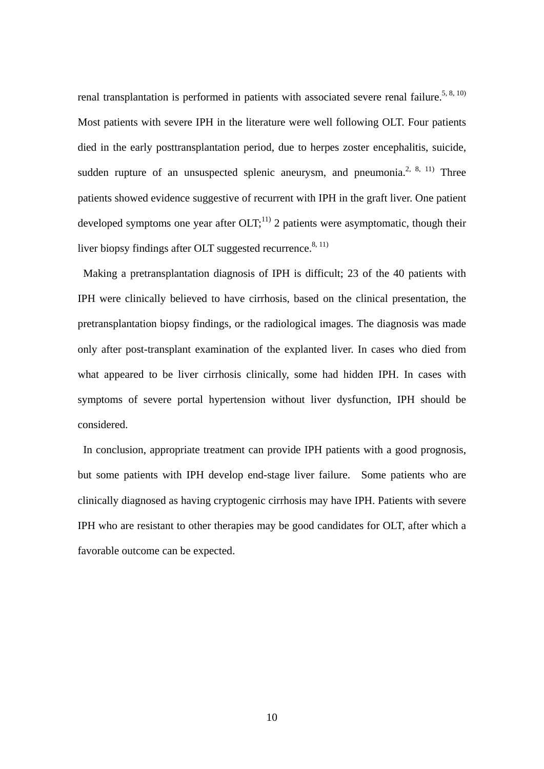renal transplantation is performed in patients with associated severe renal failure.<sup>5, 8, 10)</sup> Most patients with severe IPH in the literature were well following OLT. Four patients died in the early posttransplantation period, due to herpes zoster encephalitis, suicide, sudden rupture of an unsuspected splenic aneurysm, and pneumonia.<sup>2, 8, 11)</sup> Three patients showed evidence suggestive of recurrent with IPH in the graft liver. One patient developed symptoms one year after  $[OLT; 11]$ <sup>11</sup> 2 patients were asymptomatic, though their liver biopsy findings after OLT suggested recurrence.<sup>8, 11)</sup>

 Making a pretransplantation diagnosis of IPH is difficult; 23 of the 40 patients with IPH were clinically believed to have cirrhosis, based on the clinical presentation, the pretransplantation biopsy findings, or the radiological images. The diagnosis was made only after post-transplant examination of the explanted liver. In cases who died from what appeared to be liver cirrhosis clinically, some had hidden IPH. In cases with symptoms of severe portal hypertension without liver dysfunction, IPH should be considered.

 In conclusion, appropriate treatment can provide IPH patients with a good prognosis, but some patients with IPH develop end-stage liver failure. Some patients who are clinically diagnosed as having cryptogenic cirrhosis may have IPH. Patients with severe IPH who are resistant to other therapies may be good candidates for OLT, after which a favorable outcome can be expected.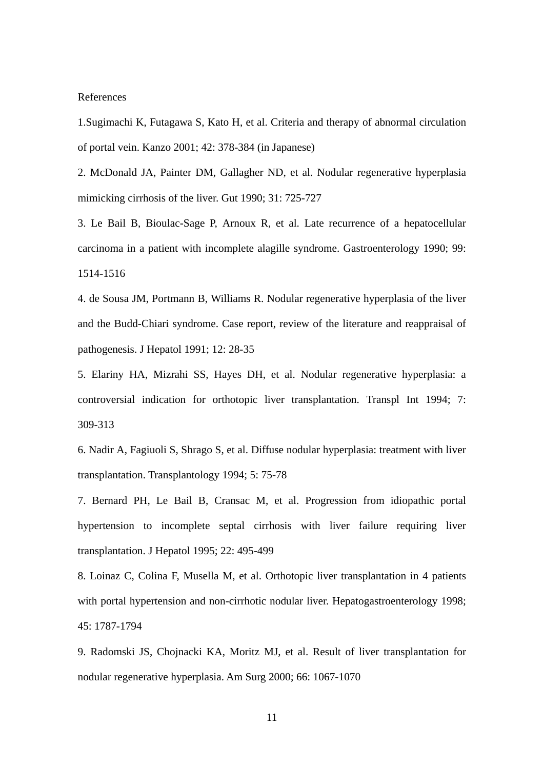### References

1.Sugimachi K, Futagawa S, Kato H, et al. Criteria and therapy of abnormal circulation of portal vein. Kanzo 2001; 42: 378-384 (in Japanese)

2. McDonald JA, Painter DM, Gallagher ND, et al. Nodular regenerative hyperplasia mimicking cirrhosis of the liver. Gut 1990; 31: 725-727

3. Le Bail B, Bioulac-Sage P, Arnoux R, et al. Late recurrence of a hepatocellular carcinoma in a patient with incomplete alagille syndrome. Gastroenterology 1990; 99: 1514-1516

4. de Sousa JM, Portmann B, Williams R. Nodular regenerative hyperplasia of the liver and the Budd-Chiari syndrome. Case report, review of the literature and reappraisal of pathogenesis. J Hepatol 1991; 12: 28-35

5. Elariny HA, Mizrahi SS, Hayes DH, et al. Nodular regenerative hyperplasia: a controversial indication for orthotopic liver transplantation. Transpl Int 1994; 7: 309-313

6. Nadir A, Fagiuoli S, Shrago S, et al. Diffuse nodular hyperplasia: treatment with liver transplantation. Transplantology 1994; 5: 75-78

7. Bernard PH, Le Bail B, Cransac M, et al. Progression from idiopathic portal hypertension to incomplete septal cirrhosis with liver failure requiring liver transplantation. J Hepatol 1995; 22: 495-499

8. Loinaz C, Colina F, Musella M, et al. Orthotopic liver transplantation in 4 patients with portal hypertension and non-cirrhotic nodular liver. Hepatogastroenterology 1998; 45: 1787-1794

9. Radomski JS, Chojnacki KA, Moritz MJ, et al. Result of liver transplantation for nodular regenerative hyperplasia. Am Surg 2000; 66: 1067-1070

11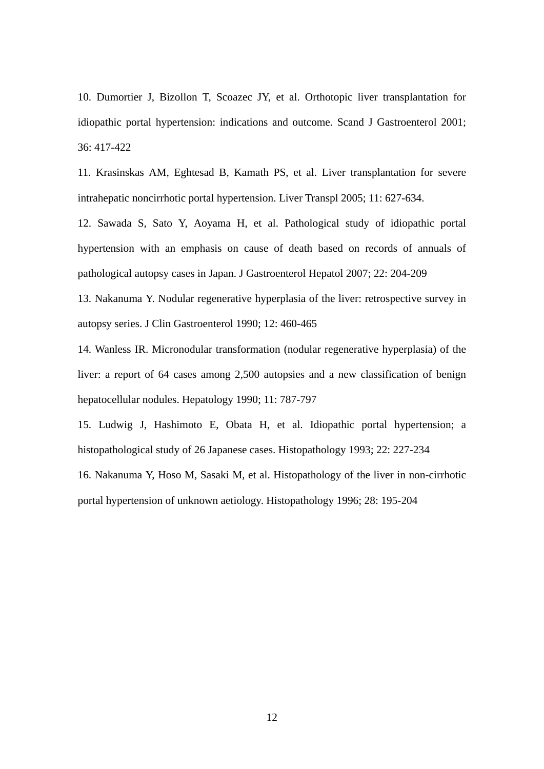10. Dumortier J, Bizollon T, Scoazec JY, et al. Orthotopic liver transplantation for idiopathic portal hypertension: indications and outcome. Scand J Gastroenterol 2001; 36: 417-422

11. Krasinskas AM, Eghtesad B, Kamath PS, et al. Liver transplantation for severe intrahepatic noncirrhotic portal hypertension. Liver Transpl 2005; 11: 627-634.

12. Sawada S, Sato Y, Aoyama H, et al. Pathological study of idiopathic portal hypertension with an emphasis on cause of death based on records of annuals of pathological autopsy cases in Japan. J Gastroenterol Hepatol 2007; 22: 204-209

13. Nakanuma Y. Nodular regenerative hyperplasia of the liver: retrospective survey in autopsy series. J Clin Gastroenterol 1990; 12: 460-465

14. Wanless IR. Micronodular transformation (nodular regenerative hyperplasia) of the liver: a report of 64 cases among 2,500 autopsies and a new classification of benign hepatocellular nodules. Hepatology 1990; 11: 787-797

15. Ludwig J, Hashimoto E, Obata H, et al. Idiopathic portal hypertension; a histopathological study of 26 Japanese cases. Histopathology 1993; 22: 227-234

16. Nakanuma Y, Hoso M, Sasaki M, et al. Histopathology of the liver in non-cirrhotic portal hypertension of unknown aetiology. Histopathology 1996; 28: 195-204